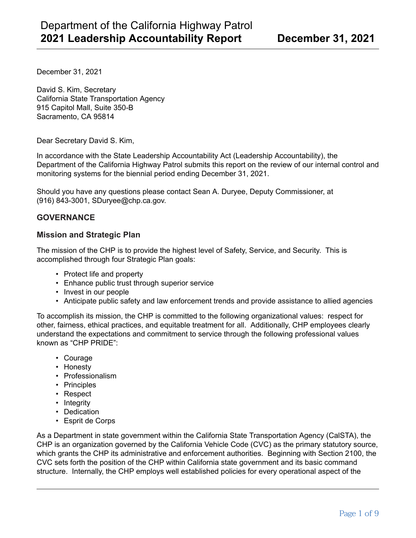December 31, 2021

David S. Kim, Secretary California State Transportation Agency 915 Capitol Mall, Suite 350-B Sacramento, CA 95814

Dear Secretary David S. Kim,

In accordance with the State Leadership Accountability Act (Leadership Accountability), the Department of the California Highway Patrol submits this report on the review of our internal control and monitoring systems for the biennial period ending December 31, 2021.

Should you have any questions please contact Sean A. Duryee, Deputy Commissioner, at (916) 843-3001, SDuryee@chp.ca.gov.

### **GOVERNANCE**

### **Mission and Strategic Plan**

The mission of the CHP is to provide the highest level of Safety, Service, and Security. This is accomplished through four Strategic Plan goals:

- Protect life and property
- Enhance public trust through superior service
- Invest in our people
- Anticipate public safety and law enforcement trends and provide assistance to allied agencies

To accomplish its mission, the CHP is committed to the following organizational values: respect for other, fairness, ethical practices, and equitable treatment for all. Additionally, CHP employees clearly understand the expectations and commitment to service through the following professional values known as "CHP PRIDE":

- Courage
- Honesty
- Professionalism
- Principles
- Respect
- Integrity
- Dedication
- Esprit de Corps

As a Department in state government within the California State Transportation Agency (CalSTA), the CHP is an organization governed by the California Vehicle Code (CVC) as the primary statutory source, which grants the CHP its administrative and enforcement authorities. Beginning with Section 2100, the CVC sets forth the position of the CHP within California state government and its basic command structure. Internally, the CHP employs well established policies for every operational aspect of the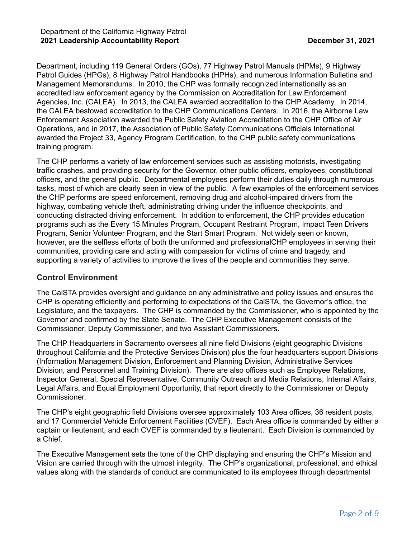Department, including 119 General Orders (GOs), 77 Highway Patrol Manuals (HPMs), 9 Highway Patrol Guides (HPGs), 8 Highway Patrol Handbooks (HPHs), and numerous Information Bulletins and Management Memorandums. In 2010, the CHP was formally recognized internationally as an accredited law enforcement agency by the Commission on Accreditation for Law Enforcement Agencies, Inc. (CALEA). In 2013, the CALEA awarded accreditation to the CHP Academy. In 2014, the CALEA bestowed accreditation to the CHP Communications Centers. In 2016, the Airborne Law Enforcement Association awarded the Public Safety Aviation Accreditation to the CHP Office of Air Operations, and in 2017, the Association of Public Safety Communications Officials International awarded the Project 33, Agency Program Certification, to the CHP public safety communications training program.

The CHP performs a variety of law enforcement services such as assisting motorists, investigating traffic crashes, and providing security for the Governor, other public officers, employees, constitutional officers, and the general public. Departmental employees perform their duties daily through numerous tasks, most of which are clearly seen in view of the public. A few examples of the enforcement services the CHP performs are speed enforcement, removing drug and alcohol-impaired drivers from the highway, combating vehicle theft, administrating driving under the influence checkpoints, and conducting distracted driving enforcement. In addition to enforcement, the CHP provides education programs such as the Every 15 Minutes Program, Occupant Restraint Program, Impact Teen Drivers Program, Senior Volunteer Program, and the Start Smart Program. Not widely seen or known, however, are the selfless efforts of both the uniformed and professionalCHP employees in serving their communities, providing care and acting with compassion for victims of crime and tragedy, and supporting a variety of activities to improve the lives of the people and communities they serve.

## **Control Environment**

The CalSTA provides oversight and guidance on any administrative and policy issues and ensures the CHP is operating efficiently and performing to expectations of the CalSTA, the Governor's office, the Legislature, and the taxpayers. The CHP is commanded by the Commissioner, who is appointed by the Governor and confirmed by the State Senate. The CHP Executive Management consists of the Commissioner, Deputy Commissioner, and two Assistant Commissioners.

The CHP Headquarters in Sacramento oversees all nine field Divisions (eight geographic Divisions throughout California and the Protective Services Division) plus the four headquarters support Divisions (Information Management Division, Enforcement and Planning Division, Administrative Services Division, and Personnel and Training Division). There are also offices such as Employee Relations, Inspector General, Special Representative, Community Outreach and Media Relations, Internal Affairs, Legal Affairs, and Equal Employment Opportunity, that report directly to the Commissioner or Deputy Commissioner.

The CHP's eight geographic field Divisions oversee approximately 103 Area offices, 36 resident posts, and 17 Commercial Vehicle Enforcement Facilities (CVEF). Each Area office is commanded by either a captain or lieutenant, and each CVEF is commanded by a lieutenant. Each Division is commanded by a Chief.

The Executive Management sets the tone of the CHP displaying and ensuring the CHP's Mission and Vision are carried through with the utmost integrity. The CHP's organizational, professional, and ethical values along with the standards of conduct are communicated to its employees through departmental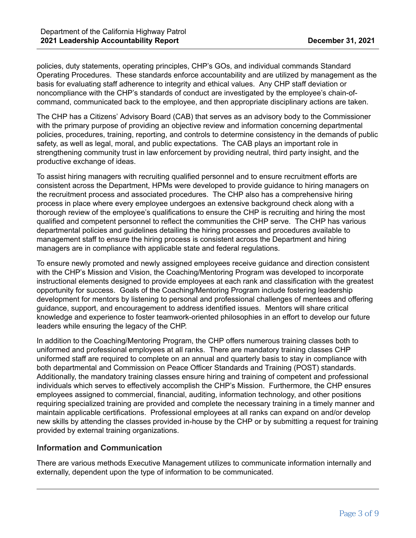policies, duty statements, operating principles, CHP's GOs, and individual commands Standard Operating Procedures. These standards enforce accountability and are utilized by management as the basis for evaluating staff adherence to integrity and ethical values. Any CHP staff deviation or noncompliance with the CHP's standards of conduct are investigated by the employee's chain-ofcommand, communicated back to the employee, and then appropriate disciplinary actions are taken.

The CHP has a Citizens' Advisory Board (CAB) that serves as an advisory body to the Commissioner with the primary purpose of providing an objective review and information concerning departmental policies, procedures, training, reporting, and controls to determine consistency in the demands of public safety, as well as legal, moral, and public expectations. The CAB plays an important role in strengthening community trust in law enforcement by providing neutral, third party insight, and the productive exchange of ideas.

To assist hiring managers with recruiting qualified personnel and to ensure recruitment efforts are consistent across the Department, HPMs were developed to provide guidance to hiring managers on the recruitment process and associated procedures. The CHP also has a comprehensive hiring process in place where every employee undergoes an extensive background check along with a thorough review of the employee's qualifications to ensure the CHP is recruiting and hiring the most qualified and competent personnel to reflect the communities the CHP serve. The CHP has various departmental policies and guidelines detailing the hiring processes and procedures available to management staff to ensure the hiring process is consistent across the Department and hiring managers are in compliance with applicable state and federal regulations.

To ensure newly promoted and newly assigned employees receive guidance and direction consistent with the CHP's Mission and Vision, the Coaching/Mentoring Program was developed to incorporate instructional elements designed to provide employees at each rank and classification with the greatest opportunity for success. Goals of the Coaching/Mentoring Program include fostering leadership development for mentors by listening to personal and professional challenges of mentees and offering guidance, support, and encouragement to address identified issues. Mentors will share critical knowledge and experience to foster teamwork-oriented philosophies in an effort to develop our future leaders while ensuring the legacy of the CHP.

In addition to the Coaching/Mentoring Program, the CHP offers numerous training classes both to uniformed and professional employees at all ranks. There are mandatory training classes CHP uniformed staff are required to complete on an annual and quarterly basis to stay in compliance with both departmental and Commission on Peace Officer Standards and Training (POST) standards. Additionally, the mandatory training classes ensure hiring and training of competent and professional individuals which serves to effectively accomplish the CHP's Mission. Furthermore, the CHP ensures employees assigned to commercial, financial, auditing, information technology, and other positions requiring specialized training are provided and complete the necessary training in a timely manner and maintain applicable certifications. Professional employees at all ranks can expand on and/or develop new skills by attending the classes provided in-house by the CHP or by submitting a request for training provided by external training organizations.

## **Information and Communication**

There are various methods Executive Management utilizes to communicate information internally and externally, dependent upon the type of information to be communicated.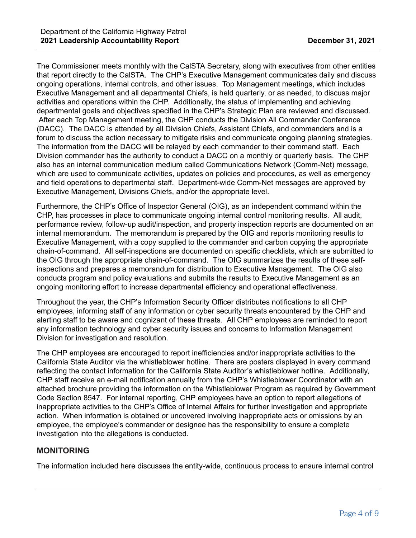The Commissioner meets monthly with the CalSTA Secretary, along with executives from other entities that report directly to the CalSTA. The CHP's Executive Management communicates daily and discuss ongoing operations, internal controls, and other issues. Top Management meetings, which includes Executive Management and all departmental Chiefs, is held quarterly, or as needed, to discuss major activities and operations within the CHP. Additionally, the status of implementing and achieving departmental goals and objectives specified in the CHP's Strategic Plan are reviewed and discussed. After each Top Management meeting, the CHP conducts the Division All Commander Conference (DACC). The DACC is attended by all Division Chiefs, Assistant Chiefs, and commanders and is a forum to discuss the action necessary to mitigate risks and communicate ongoing planning strategies. The information from the DACC will be relayed by each commander to their command staff. Each Division commander has the authority to conduct a DACC on a monthly or quarterly basis. The CHP also has an internal communication medium called Communications Network (Comm-Net) message, which are used to communicate activities, updates on policies and procedures, as well as emergency and field operations to departmental staff. Department-wide Comm-Net messages are approved by Executive Management, Divisions Chiefs, and/or the appropriate level.

Furthermore, the CHP's Office of Inspector General (OIG), as an independent command within the CHP, has processes in place to communicate ongoing internal control monitoring results. All audit, performance review, follow-up audit/inspection, and property inspection reports are documented on an internal memorandum. The memorandum is prepared by the OIG and reports monitoring results to Executive Management, with a copy supplied to the commander and carbon copying the appropriate chain-of-command. All self-inspections are documented on specific checklists, which are submitted to the OIG through the appropriate chain-of-command. The OIG summarizes the results of these selfinspections and prepares a memorandum for distribution to Executive Management. The OIG also conducts program and policy evaluations and submits the results to Executive Management as an ongoing monitoring effort to increase departmental efficiency and operational effectiveness.

Throughout the year, the CHP's Information Security Officer distributes notifications to all CHP employees, informing staff of any information or cyber security threats encountered by the CHP and alerting staff to be aware and cognizant of these threats. All CHP employees are reminded to report any information technology and cyber security issues and concerns to Information Management Division for investigation and resolution.

The CHP employees are encouraged to report inefficiencies and/or inappropriate activities to the California State Auditor via the whistleblower hotline. There are posters displayed in every command reflecting the contact information for the California State Auditor's whistleblower hotline. Additionally, CHP staff receive an e-mail notification annually from the CHP's Whistleblower Coordinator with an attached brochure providing the information on the Whistleblower Program as required by Government Code Section 8547. For internal reporting, CHP employees have an option to report allegations of inappropriate activities to the CHP's Office of Internal Affairs for further investigation and appropriate action. When information is obtained or uncovered involving inappropriate acts or omissions by an employee, the employee's commander or designee has the responsibility to ensure a complete investigation into the allegations is conducted.

## **MONITORING**

The information included here discusses the entity-wide, continuous process to ensure internal control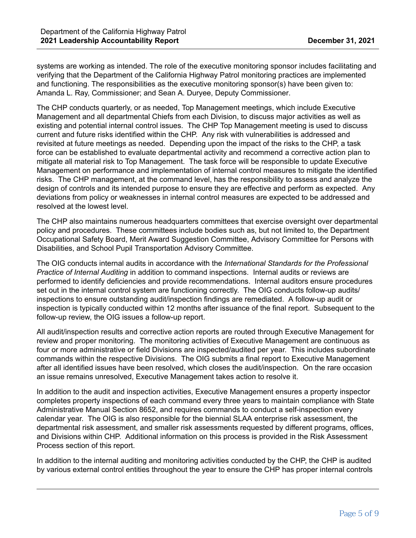systems are working as intended. The role of the executive monitoring sponsor includes facilitating and verifying that the Department of the California Highway Patrol monitoring practices are implemented and functioning. The responsibilities as the executive monitoring sponsor(s) have been given to: Amanda L. Ray, Commissioner; and Sean A. Duryee, Deputy Commissioner.

The CHP conducts quarterly, or as needed, Top Management meetings, which include Executive Management and all departmental Chiefs from each Division, to discuss major activities as well as existing and potential internal control issues. The CHP Top Management meeting is used to discuss current and future risks identified within the CHP. Any risk with vulnerabilities is addressed and revisited at future meetings as needed. Depending upon the impact of the risks to the CHP, a task force can be established to evaluate departmental activity and recommend a corrective action plan to mitigate all material risk to Top Management. The task force will be responsible to update Executive Management on performance and implementation of internal control measures to mitigate the identified risks. The CHP management, at the command level, has the responsibility to assess and analyze the design of controls and its intended purpose to ensure they are effective and perform as expected. Any deviations from policy or weaknesses in internal control measures are expected to be addressed and resolved at the lowest level.

The CHP also maintains numerous headquarters committees that exercise oversight over departmental policy and procedures. These committees include bodies such as, but not limited to, the Department Occupational Safety Board, Merit Award Suggestion Committee, Advisory Committee for Persons with Disabilities, and School Pupil Transportation Advisory Committee.

The OIG conducts internal audits in accordance with the *International Standards for the Professional Practice of Internal Auditing* in addition to command inspections. Internal audits or reviews are performed to identify deficiencies and provide recommendations. Internal auditors ensure procedures set out in the internal control system are functioning correctly. The OIG conducts follow-up audits/ inspections to ensure outstanding audit/inspection findings are remediated. A follow-up audit or inspection is typically conducted within 12 months after issuance of the final report. Subsequent to the follow-up review, the OIG issues a follow-up report.

All audit/inspection results and corrective action reports are routed through Executive Management for review and proper monitoring. The monitoring activities of Executive Management are continuous as four or more administrative or field Divisions are inspected/audited per year. This includes subordinate commands within the respective Divisions. The OIG submits a final report to Executive Management after all identified issues have been resolved, which closes the audit/inspection. On the rare occasion an issue remains unresolved, Executive Management takes action to resolve it.

In addition to the audit and inspection activities, Executive Management ensures a property inspector completes property inspections of each command every three years to maintain compliance with State Administrative Manual Section 8652, and requires commands to conduct a self-inspection every calendar year. The OIG is also responsible for the biennial SLAA enterprise risk assessment, the departmental risk assessment, and smaller risk assessments requested by different programs, offices, and Divisions within CHP. Additional information on this process is provided in the Risk Assessment Process section of this report.

In addition to the internal auditing and monitoring activities conducted by the CHP, the CHP is audited by various external control entities throughout the year to ensure the CHP has proper internal controls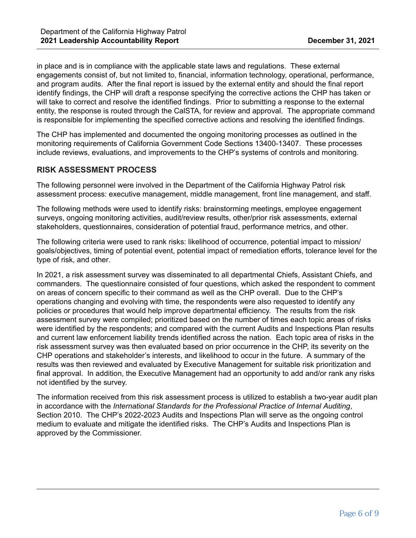in place and is in compliance with the applicable state laws and regulations. These external engagements consist of, but not limited to, financial, information technology, operational, performance, and program audits. After the final report is issued by the external entity and should the final report identify findings, the CHP will draft a response specifying the corrective actions the CHP has taken or will take to correct and resolve the identified findings. Prior to submitting a response to the external entity, the response is routed through the CalSTA, for review and approval. The appropriate command is responsible for implementing the specified corrective actions and resolving the identified findings.

The CHP has implemented and documented the ongoing monitoring processes as outlined in the monitoring requirements of California Government Code Sections 13400-13407. These processes include reviews, evaluations, and improvements to the CHP's systems of controls and monitoring.

# **RISK ASSESSMENT PROCESS**

The following personnel were involved in the Department of the California Highway Patrol risk assessment process: executive management, middle management, front line management, and staff.

The following methods were used to identify risks: brainstorming meetings, employee engagement surveys, ongoing monitoring activities, audit/review results, other/prior risk assessments, external stakeholders, questionnaires, consideration of potential fraud, performance metrics, and other.

The following criteria were used to rank risks: likelihood of occurrence, potential impact to mission/ goals/objectives, timing of potential event, potential impact of remediation efforts, tolerance level for the type of risk, and other.

In 2021, a risk assessment survey was disseminated to all departmental Chiefs, Assistant Chiefs, and commanders. The questionnaire consisted of four questions, which asked the respondent to comment on areas of concern specific to their command as well as the CHP overall. Due to the CHP's operations changing and evolving with time, the respondents were also requested to identify any policies or procedures that would help improve departmental efficiency. The results from the risk assessment survey were compiled; prioritized based on the number of times each topic areas of risks were identified by the respondents; and compared with the current Audits and Inspections Plan results and current law enforcement liability trends identified across the nation. Each topic area of risks in the risk assessment survey was then evaluated based on prior occurrence in the CHP, its severity on the CHP operations and stakeholder's interests, and likelihood to occur in the future. A summary of the results was then reviewed and evaluated by Executive Management for suitable risk prioritization and final approval. In addition, the Executive Management had an opportunity to add and/or rank any risks not identified by the survey.

The information received from this risk assessment process is utilized to establish a two-year audit plan in accordance with the *International Standards for the Professional Practice of Internal Auditing*, Section 2010. The CHP's 2022-2023 Audits and Inspections Plan will serve as the ongoing control medium to evaluate and mitigate the identified risks. The CHP's Audits and Inspections Plan is approved by the Commissioner.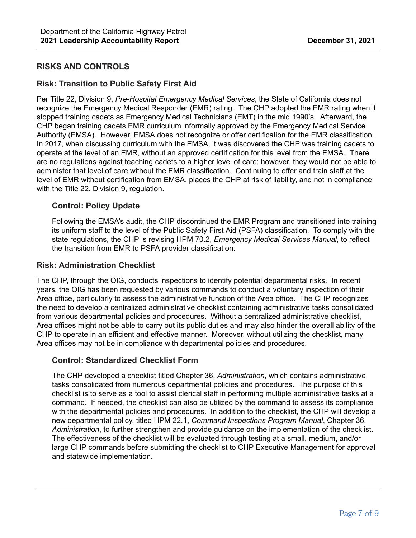## **RISKS AND CONTROLS**

### **Risk: Transition to Public Safety First Aid**

Per Title 22, Division 9, *Pre-Hospital Emergency Medical Services*, the State of California does not recognize the Emergency Medical Responder (EMR) rating. The CHP adopted the EMR rating when it stopped training cadets as Emergency Medical Technicians (EMT) in the mid 1990's. Afterward, the CHP began training cadets EMR curriculum informally approved by the Emergency Medical Service Authority (EMSA). However, EMSA does not recognize or offer certification for the EMR classification. In 2017, when discussing curriculum with the EMSA, it was discovered the CHP was training cadets to operate at the level of an EMR, without an approved certification for this level from the EMSA. There are no regulations against teaching cadets to a higher level of care; however, they would not be able to administer that level of care without the EMR classification. Continuing to offer and train staff at the level of EMR without certification from EMSA, places the CHP at risk of liability, and not in compliance with the Title 22, Division 9, regulation.

### **Control: Policy Update**

Following the EMSA's audit, the CHP discontinued the EMR Program and transitioned into training its uniform staff to the level of the Public Safety First Aid (PSFA) classification. To comply with the state regulations, the CHP is revising HPM 70.2, *Emergency Medical Services Manual*, to reflect the transition from EMR to PSFA provider classification.

### **Risk: Administration Checklist**

The CHP, through the OIG, conducts inspections to identify potential departmental risks. In recent years, the OIG has been requested by various commands to conduct a voluntary inspection of their Area office, particularly to assess the administrative function of the Area office. The CHP recognizes the need to develop a centralized administrative checklist containing administrative tasks consolidated from various departmental policies and procedures. Without a centralized administrative checklist, Area offices might not be able to carry out its public duties and may also hinder the overall ability of the CHP to operate in an efficient and effective manner. Moreover, without utilizing the checklist, many Area offices may not be in compliance with departmental policies and procedures.

### **Control: Standardized Checklist Form**

The CHP developed a checklist titled Chapter 36, *Administration*, which contains administrative tasks consolidated from numerous departmental policies and procedures. The purpose of this checklist is to serve as a tool to assist clerical staff in performing multiple administrative tasks at a command. If needed, the checklist can also be utilized by the command to assess its compliance with the departmental policies and procedures. In addition to the checklist, the CHP will develop a new departmental policy, titled HPM 22.1, *Command Inspections Program Manual*, Chapter 36, *Administration*, to further strengthen and provide guidance on the implementation of the checklist. The effectiveness of the checklist will be evaluated through testing at a small, medium, and/or large CHP commands before submitting the checklist to CHP Executive Management for approval and statewide implementation.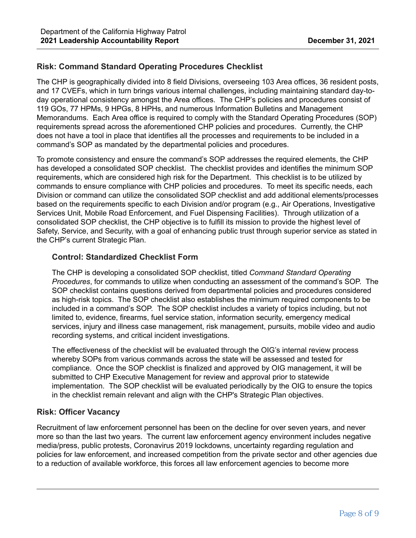# **Risk: Command Standard Operating Procedures Checklist**

The CHP is geographically divided into 8 field Divisions, overseeing 103 Area offices, 36 resident posts, and 17 CVEFs, which in turn brings various internal challenges, including maintaining standard day-today operational consistency amongst the Area offices. The CHP's policies and procedures consist of 119 GOs, 77 HPMs, 9 HPGs, 8 HPHs, and numerous Information Bulletins and Management Memorandums. Each Area office is required to comply with the Standard Operating Procedures (SOP) requirements spread across the aforementioned CHP policies and procedures. Currently, the CHP does not have a tool in place that identifies all the processes and requirements to be included in a command's SOP as mandated by the departmental policies and procedures.

To promote consistency and ensure the command's SOP addresses the required elements, the CHP has developed a consolidated SOP checklist. The checklist provides and identifies the minimum SOP requirements, which are considered high risk for the Department. This checklist is to be utilized by commands to ensure compliance with CHP policies and procedures. To meet its specific needs, each Division or command can utilize the consolidated SOP checklist and add additional elements/processes based on the requirements specific to each Division and/or program (e.g., Air Operations, Investigative Services Unit, Mobile Road Enforcement, and Fuel Dispensing Facilities). Through utilization of a consolidated SOP checklist, the CHP objective is to fulfill its mission to provide the highest level of Safety, Service, and Security, with a goal of enhancing public trust through superior service as stated in the CHP's current Strategic Plan.

### **Control: Standardized Checklist Form**

The CHP is developing a consolidated SOP checklist, titled *Command Standard Operating Procedures*, for commands to utilize when conducting an assessment of the command's SOP. The SOP checklist contains questions derived from departmental policies and procedures considered as high-risk topics. The SOP checklist also establishes the minimum required components to be included in a command's SOP. The SOP checklist includes a variety of topics including, but not limited to, evidence, firearms, fuel service station, information security, emergency medical services, injury and illness case management, risk management, pursuits, mobile video and audio recording systems, and critical incident investigations.

The effectiveness of the checklist will be evaluated through the OIG's internal review process whereby SOPs from various commands across the state will be assessed and tested for compliance. Once the SOP checklist is finalized and approved by OIG management, it will be submitted to CHP Executive Management for review and approval prior to statewide implementation. The SOP checklist will be evaluated periodically by the OIG to ensure the topics in the checklist remain relevant and align with the CHP's Strategic Plan objectives.

## **Risk: Officer Vacancy**

Recruitment of law enforcement personnel has been on the decline for over seven years, and never more so than the last two years. The current law enforcement agency environment includes negative media/press, public protests, Coronavirus 2019 lockdowns, uncertainty regarding regulation and policies for law enforcement, and increased competition from the private sector and other agencies due to a reduction of available workforce, this forces all law enforcement agencies to become more